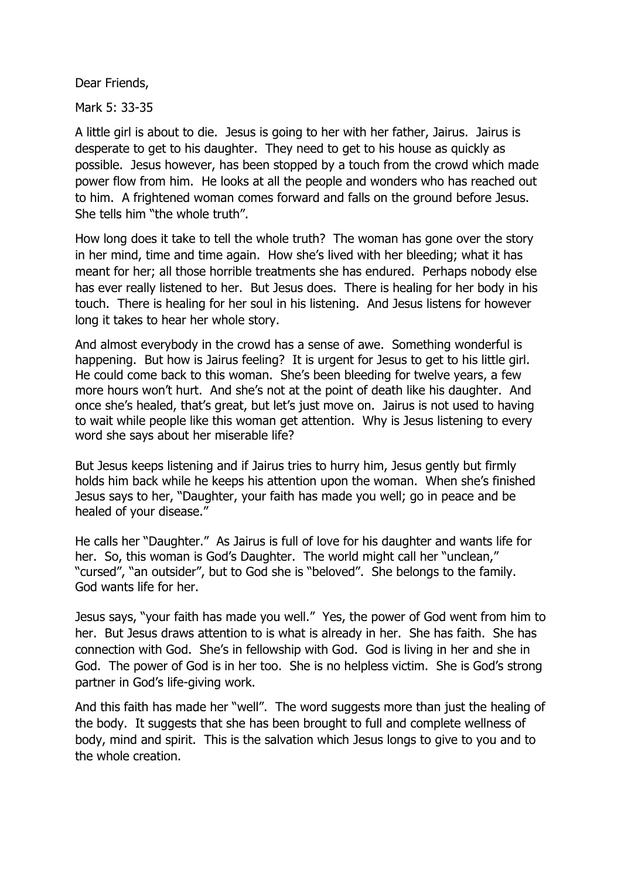Dear Friends,

Mark 5: 33-35

A little girl is about to die. Jesus is going to her with her father, Jairus. Jairus is desperate to get to his daughter. They need to get to his house as quickly as possible. Jesus however, has been stopped by a touch from the crowd which made power flow from him. He looks at all the people and wonders who has reached out to him. A frightened woman comes forward and falls on the ground before Jesus. She tells him "the whole truth".

How long does it take to tell the whole truth? The woman has gone over the story in her mind, time and time again. How she's lived with her bleeding; what it has meant for her; all those horrible treatments she has endured. Perhaps nobody else has ever really listened to her. But Jesus does. There is healing for her body in his touch. There is healing for her soul in his listening. And Jesus listens for however long it takes to hear her whole story.

And almost everybody in the crowd has a sense of awe. Something wonderful is happening. But how is Jairus feeling? It is urgent for Jesus to get to his little girl. He could come back to this woman. She's been bleeding for twelve years, a few more hours won't hurt. And she's not at the point of death like his daughter. And once she's healed, that's great, but let's just move on. Jairus is not used to having to wait while people like this woman get attention. Why is Jesus listening to every word she says about her miserable life?

But Jesus keeps listening and if Jairus tries to hurry him, Jesus gently but firmly holds him back while he keeps his attention upon the woman. When she's finished Jesus says to her, "Daughter, your faith has made you well; go in peace and be healed of your disease."

He calls her "Daughter." As Jairus is full of love for his daughter and wants life for her. So, this woman is God's Daughter. The world might call her "unclean," "cursed", "an outsider", but to God she is "beloved". She belongs to the family. God wants life for her.

Jesus says, "your faith has made you well." Yes, the power of God went from him to her. But Jesus draws attention to is what is already in her. She has faith. She has connection with God. She's in fellowship with God. God is living in her and she in God. The power of God is in her too. She is no helpless victim. She is God's strong partner in God's life-giving work.

And this faith has made her "well". The word suggests more than just the healing of the body. It suggests that she has been brought to full and complete wellness of body, mind and spirit. This is the salvation which Jesus longs to give to you and to the whole creation.